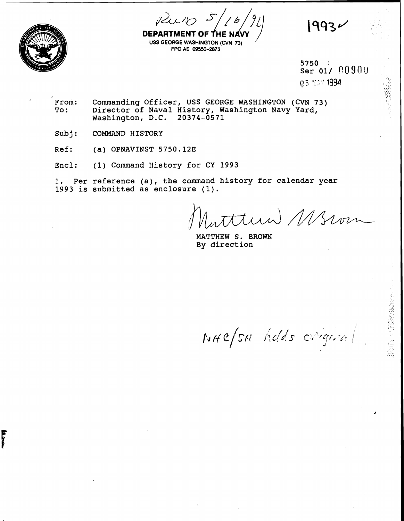1993



F

**USS GEORGE WASHINGTON (CVN 73)**<br>USS GEORGE WASHINGTON (CVN 73) **FPO AE (39550-2873** 

> 5750  $\sim 10$ ser 01/ 00900

- From: Commanding Officer, USS GEORGE WASHINGTON (CVN 73)<br>To: Director of Naval History, Washington Navy Yard, **To: Director of Naval History, Washington Navy Yard, Washington, D.C. 20374-0571**
- Subj: **COMMAND HISTORY**
- **Ref:** (a) OPNAVINST 5750.12E
- **Encl: (1) Command History for CY 1993**

**1. Per reference (a), the command history for calendar year 1993 is submitted as enclosure (1).** 

tun Wswm

**MATTHEW S. BROWN By direction** 

NAC/SH holds original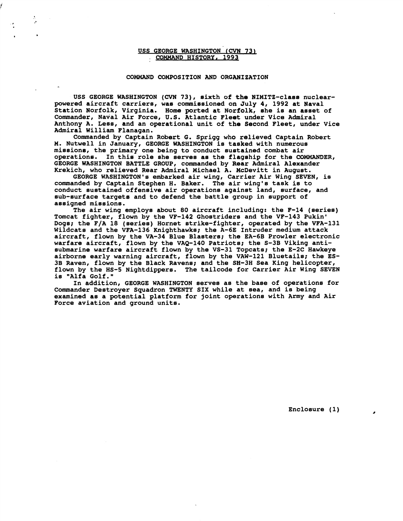## USS GEORGE WASHINGTON (CVN 73) COMMAND HISTORY, 1993

۰,

## COMMAND COMPOSITION AND ORGANIZATION

USS GEORGE WASHINGTON **(CVN 73),** sixth of the NIMITZ-class nuclearpowered aircraft carriers, was commissioned on July 4, 1992 at Naval Station Norfolk, Virginia. Home ported at Norfolk, she is an asset of Commander, Naval Air Force, U.S. htlantic Fleet under Vice Admiral Anthony A. Less, and an operational unit of the Second Fleet, under Vice Admiral William Flanagan.

Commanded by Captain Robert **6.** Sprigg who relieved Captain Robert M. Nutwell in January, GEORGE WASHINGTON is tasked with numerous missione, the primary one being to conduct sustained combat air In this role she serves as the flagship for the COMMANDER, GEORGE WASHINGTON BATTLE GROUP, commanded by Rear Admiral Alexander Krekich, who relieved Rear Admiral Michael A. McDevitt in August.

GEORGE WASHINGTON'S embarked air wing, Carrier Air Wing SEVEN, is commanded by Captain Stephen H. Baker. The air wing's task is to conduct sustained offensive air operations against land, surface, and sub-surface targets and to defend the battle group in support of assigned missions.

The air wing employs about 80 aircraft including: the F-14 (series) Tomcat fighter, flown by the VF-142 Ghostriders and the VF-143 Pukin' Dogs; the F/A 18 (series) Hornet strike-fighter, operated by the VFA-131 Wildcats and the VFA-136 Knighthawks; the A-6E Intruder medium attack aircraft, flown by the VA-34 Blue Blasters; the EA-6B Prowler electronic warfare aircraft, flown by the VAQ-140 Patriots; the S-3B Viking antisubmarine warfare aircraft flown by the VS-31 Topcats; the E-2C Hawkeye airborne early warning aircraft, flown by the VAW-121 Bluetails; the ES-38 Raven, flown by the Black Ravens; and the SH-3H Sea King helicopter, flown by the HS-5 Nightdippers. The tailcode for Carrier Air Wing SEVEN is "Alfa Golf."

In addition, GEORGE WASHINGTON serves as the base of operations for Commander Destroyer Squadron TWENTY SIX while at sea, and is being examined as a potential platform for joint operations with Army and Air Force aviation and ground units.

Enclosure (1)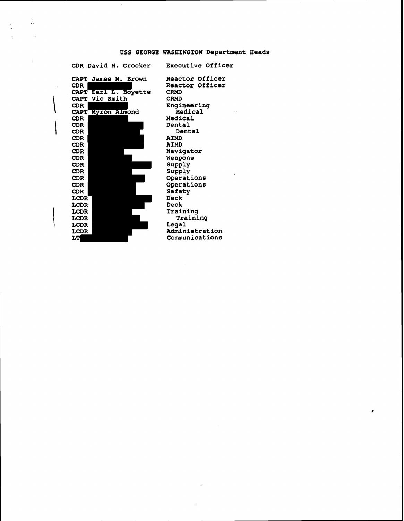# **USS GEORGE WASHINGTON Department Heads**

**CDR David M. Crocker Executive Officer** 

 $\frac{1}{\sqrt{2}}$ 

÷

 $\cdot$ 



**Reactor Officer Reactor Officer CRMD CRMD Engineering Medical Medical Dental Dental AIMD AIMD Navigator Weapdns**  Supply **SUPPLY Operat ions Operations Safety Deck Deck Training Training Legal Administration Communications** 

 $\mathbf{z}$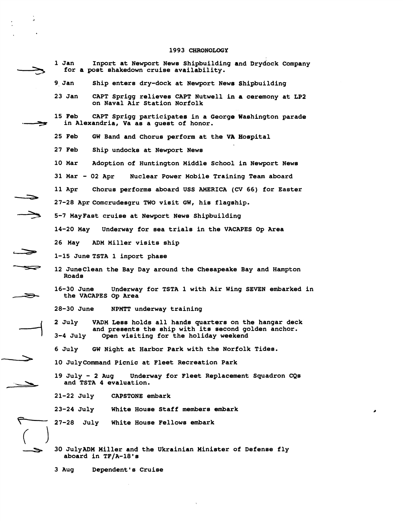#### **1993 CHRONOLOGY**

1 Jan 1 Inport at Newport News Shipbuilding and Drydock Company - **for a post shakedown cruise availability. 9 Jan Ship enters dry-dock at Newport News Shipbuilding 23 Jan CAPT Sprigg relieves CART Nutwell in a ceremony at LP2 on Naval Air Station Norfolk 15 Feb CAPT Sprigg participates in a George Washington parade**  in Alexandria, Va as a quest of honor. 25 Feb GW Band and Chorus perform at the VA Hospital<br>
27 Feb Ship undocks at Newport News<br>
10 Mar Adoption of Huntington Middle School in Newport News<br>
31 Mar - 02 Apr Nuclear Power Mobile Training Team aboard<br>
11 Apr Chor **25 Feb GW Band and Chorus perform at the VA Hospital 27 Feb Ship undocks at Newport News 10 Mar Adoption of Huntington Middle School in Newport News 31 Mar** - **02 Apr Nuclear Power Mobile Training Team aboard 27-28 Aprcomcrudesgru TWO visit QW, his flagship. -3 5-7 MayFast cruise at Newport News Shipbuilding 14-20 May Underway for sea trials in the VACAPES Op Area 26 May ADM Miller visits ship 1-15 June TSTA 1 inport phase**   $\Rightarrow$ **12 JuneClean the Bay Day around the Chesapeake Bay and Hampton Roads 16-30 June Underway for TSTA 1 with Air Wing SEVEN embarked in**  *S;3,* **the VACAPES Op Area 28-30 June NPMTT underway training**  2 July VADM Less holds all hands quarters on the hangar deck<br>and presents the ship with its second golden anchor.<br>3-4 July Open visiting for the holiday weekend<br>6 July GW Night at Harbor Park with the Norfolk Tides.<br>10 Jul **2 July VADM Less holds all hands quarters on the hangar deck and presents the ship with its second golden anchor. 3-4 July Open visiting for the holiday weekend 6 July GW Night at Harbor Park with the Norfolk Tides. 10 JulyCommand Picnic at Fleet Recreation Park and TSTA 4 evaluation. 21-22 July CAPSTONE embark 23-24 July White House Staff members embark 27-28 July White House Fellows embark -5 30 JulyADM Miller and the Ukrainian Minister of Defense fly aboard in TF/A-18's** 

**3 Aug Dependent's Cruise**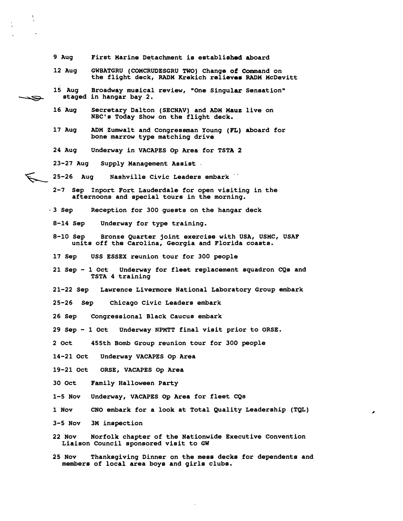- **9 Aug First Marine Detachment is established aboard**
- **12 Aug GWBATGRU (COMCRUDESGRU TWO) Change of Command on the flight deck, RADM Krekich relieves RADM McDevitt**
- 15 Aug Broadway musical review, "One Singular Sensation" **v staged in hangar bay 2.** 
	- Secretary Dalton (SECNAV) and ADM Mauz live on **NBC's Today Show on the flight deck.**
	- **17 Aug ADM Zumwalt and Congressman Young (FL) aboard for bone marrow type matching drive**
	- **24 Aug Underway in VACAPES Op Area for TSTA 2**
	- **23-27 Aug Supply Management Assist** -
	- %& **25-26 Aug Nashville Civic Leaders embark** .-
		- **2-7 Sep Inport Fort Lauderdale for open visiting in the afternoons and special tours in the morning.**
		- **3 Sep Reception for 300 guests on the hangar deck**
		- **8-14 Sep Underway for type training.**
		- **8-10 Sep Bronze Quarter joint exercise with USA, USMC, USAF units off the Carolina, Georgia and Florida coasts.**
		- **17 Sep USS ESSEX reunion tour for 300 people**
		- **21 Sep 1 Oct Underway for fleet replacement squadron CQs and TSTA 4 training**
		- **21-22 Sep Lawrence Livermore National Laboratory Group embark**
		- **25-26 sep Chicago Civic Leaders embark**
		- **26 Sep Congressional Black Caucus embark**
		- **29 Sep 1 Oct Underway NPMTT final visit prior to ORSE.**
		- **2 Oct 455th Bomb Group reunion tour for 300 people**
		- **14-21 Oct Underway VACAPES Op Area**
		- **19-21 Oct ORSE, VACAPES Op Area**
		- **30 Oct Family Halloween Party**
		- **1-5 Nov Underway, VACAPES Op Area for fleet CQs**
		- **1 Nov CNO embark for a look at Total Quality Leadership (TQL)**
		- **3-5 Nov 3M inspection**
		- **22 Nov Norfolk chapter of the Nationwide Executive Convention Liaison Council sponsored visit to GW**
		- **25 Nov Thanksgiving Dinner on the mess decks for dependents and members of local area boys and girls clubs.**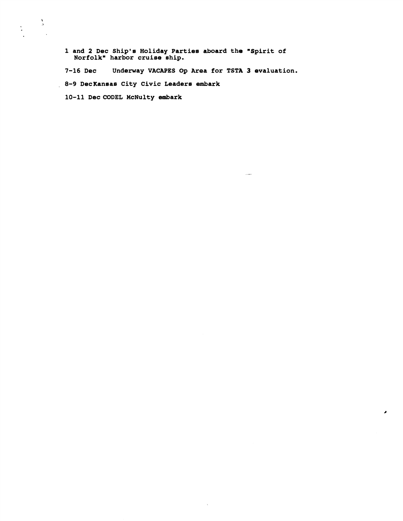**1 and 2 Dec Ship's Holiday Parties aboard the "Spirit of Norfolkn harbor cruise ship.** 

**7-16 Dec Underway VACAPES Og Area for TSTA 3 evaluation. 8-9 DecKanaae City Civic Leadera embark** 

 $\sim$   $\sim$ 

 $\bar{\mathbf{v}}$ 

10-11 Dec CODEL McNulty embark

 $\frac{\Lambda}{\Delta}$ 

 $\frac{a}{\sigma}$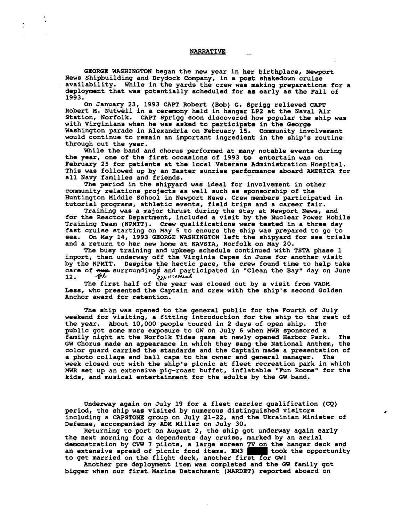#### **NARRATIVE**

GEORGE WASHINGTON began the new year in her birthplace, Newport News Shipbuilding and Drydock Company, in a poet shakedown cruise availability. While in the yards the crew was making preparations for a deployment that was potentially scheduled for as early as the Fall of 1993.

On January 23, 1993 CAPT Robert (Bob) G. Sprigg relieved CAPT Robert M. Nutwell in a ceremony held in hangar LP2 at the Naval Air Station, Norfolk. CAPT Sprigg soon discovered how popular the ship was with Virginians when he was asked to participate in the George Washington parade in Alexandria on February 15. Community involvement would continue to remain an important ingredient in the ship's routine through out the year.

While the band and chorus performed at many notable events during the year, one of the first occasions of 1993 to entertain was on February 25 for patients at the local Veterans Administration Hospital. This was followed up by an Easter sunrise performance aboard AMERICA for all Navy families and friends.

The period in the shipyard was ideal for involvement in other community relations projects as well such as sponsorship of the Huntington Middle School in Newport News. Crew members participated in tutorial programs, athletic events, field trips and a career fair.

Training wae a major thrust during the stay at Newport News, and for the Reactor Department, included a visit by the Nuclear Power Mobile Training Team (NPMTT). Crew qualifications were tested in a three day fast cruise starting on May 5 to ensure the ship was prepared to go to sea. On May 14, 1993 GEORGE WASHINGTON left the shipyard for sea trials and a return to her new home af NAVSTA, Norfolk on May 20.

The busy training and upkeep schedule continued with TSTA phase 1 inport, then underway off the virginia Capes in June for another visit by the NPMTT. Despite the hectic pace, the crew found time to help take care of  $\frac{1}{2}$  surroundings and participated in "Clean the Bay" day on June 12. He p<sub>nv</sub>ironment

The first half of the year was closed out by a visit from VADM Less, who presented the Captain and crew with the ship's second Golden Anchor award for retention.

The ship was opened to the general public for the Fourth of July weekend for visiting, a fitting introduction for the ship to the rest of the year. About 10,000 people toured in 2 days of open ship. The public got some more exposure to GW on July 6 when **MWR** sponsored a family night at the Norfolk Tides game at newly opened Harbor Park. The GW Chorus made an appearance in which they sang the National Anthem, the color guard carried the standards and the Captain made a presentation of a photo collage and ball caps to the owner and general manager. The week closed out with the ship's picnic at fleet recreation park in which **MWR** set up an extensive pig-roast buffet, inflatable "Fun Rooms" for the kids, and musical entertainment for the adults by the GW band.

Underway again on July 19 for a fleet carrier qualification (CQ) period, the ship was visited by numerous distinguished visitore including a CAPSTONE group on July 21-22, and the Ukrainian Minister of Defense, accompanied by **ADM** Miller on July 30.

Returning to port on August 2, the ship got underway again early the next morning for a dependents day cruise, marked by an aerial demonstration by **C\TW** 7 pilots, a large screen **TV** on the hangar deck and an extensive spread of picnic food items. EM3 took the opportunity to get married on the flight deck, another first for GW1

Another pre deployment item was completed and the GW family got bigger when our first Marine Detachment (MARDET) reported aboard on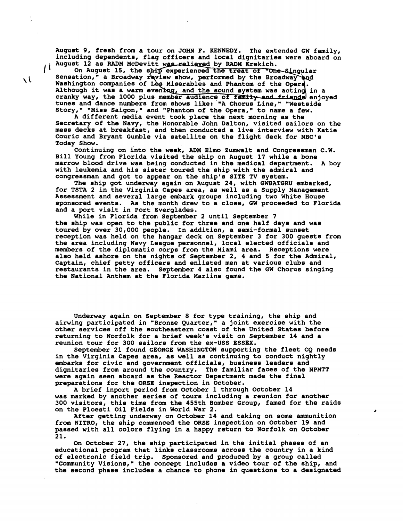August 9, fresh from a tour on JOHN F. KENNEDY. The extended GW family, including dependents, flag officers and local dignitaries were aboard on

August 12 as RADM McDevitt was relieved by RADM Krekich.<br>On August 15, the ship experienced the treat of "One-Singular<br>Sensation," a Broadway raview show, performed by the Broadway and On August 15, the ship experienced the treat of "One-Singular August 12 as RADM McDevitt<br>
On August 15, the ship<br>
Sensation," a Broadway rev<br>
Washington companies of Le<br>
Although it was a warm eve Although it was a warm evening, and the sound system was acting in a cranky way, the 1000 plus member audience of family-and friends enjoyed tunes and dance numbers from shows like: "A Chorus Line," "Westside Story," "Miss Saigon," and "Phantom of the Opera," to name a few.

**A** different media event took place the next morning as the Secretary of the Navy, the Honorable John Dalton, visited sailors on the mess decks at breakfast, and then conducted a live interview with Katie Couric and Bryant Gumble via satellite on the flight deck for NBC's Today Show.

Continuing on into the week, ADM Elmo Zumwalt and Congressman C.W. Bill Young from Florida visited the ship on August 17 while a bone marrow blood drive was being conducted in the medical department. A boy with leukemia and his sister toured the ship with the admiral and congressman and got to appear on the ship's SITE TV system.

The ship got underway again on August 24, with GWBATGRU embarked, for TSTA 2 in the Virginia Capes area, as well as a Supply Management Assessment and several large embark groups including two White House sponsored events. As the month drew to a close, GW proceeded to Florida and a port visit in Port Everglades.

While in Florida from September 2 until September 7 the ship was open to the public for three and one half days and was toured by over 30,000 people. In addition, a semi-formal sunset reception was held on the hangar deck on September 3 for 300 guests from the area including Navy League personnel, local elected officials and members of the diplomatic corps from the Miami area. Receptions were also held ashore on the nights of September 2, 4 and 5 for the Admiral, Captain, chief petty officers and enlisted men at various clubs and restaurants in the area. September 4 also found the GW Chorus singing the National Anthem at the Florida Marlins game.

Underway again on September 8 for type training, the ship and airwing participated in "Bronze Quarter," a joint exercise with the other services off the southeastern coast of the United States before returning to Norfolk for a brief week's visit on September 14 and a reunion tour for 300 sailors from the ex-USS ESSEX.

September 21 found GEORGE WASHINGTON supporting the fleet CQ needs in the Virginia Capes area, as well as continuing to conduct nightly embarks for civic and government officials, business leadere and dignitaries from around the country. The familiar faces of the NPMTT were again seen aboard as the Reactor Department made the final preparations for the ORSE inspection in October.

A brief inport period from October 1 through October 14 was marked by another series of tours including a reunion for another 300 visitors, this time from the 455th Bomber Group, famed for the raids on the Ploesti Oil Fields in World War 2.

ø

After getting underway on October 14 and taking on some ammunition from NITRO, the ship commenced the ORSE inspection on October 19 and passed with all colors flying in a happy return to Norfolk on October 21.

On October 27, the ship participated in the initial phases of an educational program that links classrooms across the country in a kind of electronic field trip. Sponsored and produced by a group called "Community Visions," the concept includes a video tour of the ship, and the second phase includes a chance to phone in questions to a designated